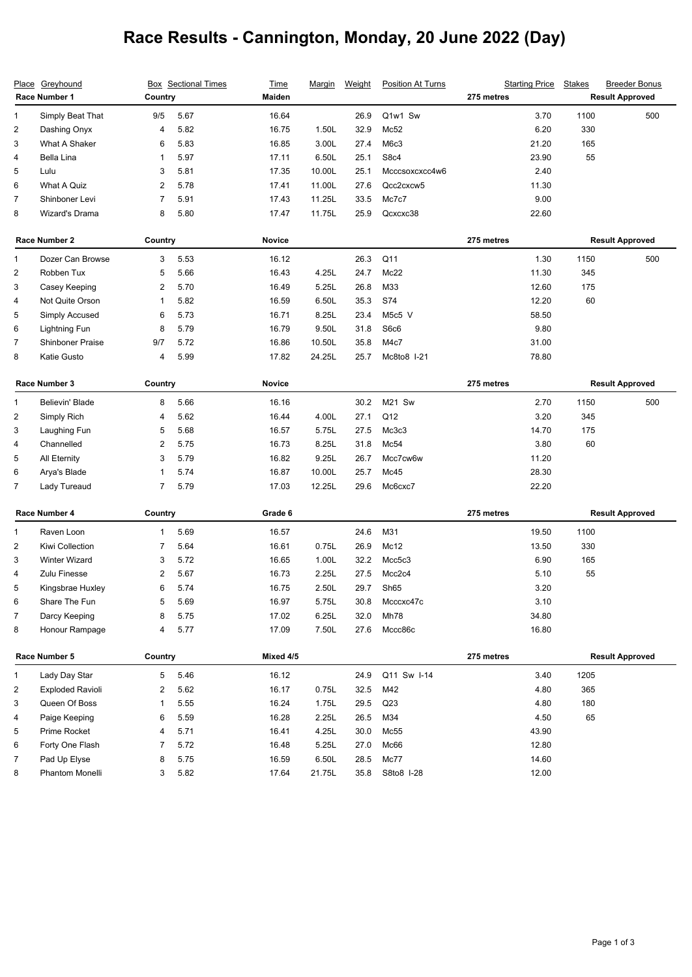## **Race Results - Cannington, Monday, 20 June 2022 (Day)**

| Greyhound<br><b>Place</b><br>Race Number 1 |                         | <b>Box</b> Sectional Times<br>Country |      | <b>Time</b>   | <b>Margin</b> | Weight | <b>Position At Turns</b> | <b>Starting Price</b>  | <b>Stakes</b>          | <b>Breeder Bonus</b>   |  |
|--------------------------------------------|-------------------------|---------------------------------------|------|---------------|---------------|--------|--------------------------|------------------------|------------------------|------------------------|--|
|                                            |                         |                                       |      | Maiden        |               |        |                          | 275 metres             |                        | <b>Result Approved</b> |  |
| 1                                          | Simply Beat That        | 9/5                                   | 5.67 | 16.64         |               | 26.9   | Q1w1 Sw                  | 3.70                   | 1100                   | 500                    |  |
| 2                                          | Dashing Onyx            | 4                                     | 5.82 | 16.75         | 1.50L         | 32.9   | Mc52                     | 6.20                   | 330                    |                        |  |
| 3                                          | What A Shaker           | 6                                     | 5.83 | 16.85         | 3.00L         | 27.4   | M6c3                     | 21.20                  | 165                    |                        |  |
| 4                                          | Bella Lina              | 1                                     | 5.97 | 17.11         | 6.50L         | 25.1   | S8c4                     | 23.90                  | 55                     |                        |  |
| 5                                          | Lulu                    | 3                                     | 5.81 | 17.35         | 10.00L        | 25.1   | Mcccsoxcxcc4w6           | 2.40                   |                        |                        |  |
| 6                                          | What A Quiz             | 2                                     | 5.78 | 17.41         | 11.00L        | 27.6   | Qcc2cxcw5                | 11.30                  |                        |                        |  |
| $\overline{7}$                             | Shinboner Levi          | 7                                     | 5.91 | 17.43         | 11.25L        | 33.5   | Mc7c7                    | 9.00                   |                        |                        |  |
| 8                                          | Wizard's Drama          | 8                                     | 5.80 | 17.47         | 11.75L        | 25.9   | Qcxcxc38                 | 22.60                  |                        |                        |  |
| Race Number 2                              |                         | Country                               |      | <b>Novice</b> |               |        | 275 metres               | <b>Result Approved</b> |                        |                        |  |
| 1                                          | Dozer Can Browse        | 3                                     | 5.53 | 16.12         |               | 26.3   | Q11                      | 1.30                   | 1150                   | 500                    |  |
| $\overline{c}$                             | Robben Tux              | 5                                     | 5.66 | 16.43         | 4.25L         | 24.7   | Mc22                     | 11.30                  | 345                    |                        |  |
| 3                                          | Casey Keeping           | 2                                     | 5.70 | 16.49         | 5.25L         | 26.8   | M33                      | 12.60                  | 175                    |                        |  |
| 4                                          | Not Quite Orson         | 1                                     | 5.82 | 16.59         | 6.50L         | 35.3   | S74                      | 12.20                  | 60                     |                        |  |
| 5                                          | Simply Accused          | 6                                     | 5.73 | 16.71         | 8.25L         | 23.4   | M5c5 V                   | 58.50                  |                        |                        |  |
| 6                                          | <b>Lightning Fun</b>    | 8                                     | 5.79 | 16.79         | 9.50L         | 31.8   | S6c6                     | 9.80                   |                        |                        |  |
| 7                                          | <b>Shinboner Praise</b> | 9/7                                   | 5.72 | 16.86         | 10.50L        | 35.8   | M4c7                     | 31.00                  |                        |                        |  |
| 8                                          | Katie Gusto             | 4                                     | 5.99 | 17.82         | 24.25L        | 25.7   | Mc8to8 I-21              | 78.80                  |                        |                        |  |
| Race Number 3                              |                         | Country                               |      | Novice        |               |        |                          | 275 metres             | <b>Result Approved</b> |                        |  |
| 1                                          | Believin' Blade         | 8                                     | 5.66 | 16.16         |               | 30.2   | M21 Sw                   | 2.70                   | 1150                   | 500                    |  |
| $\overline{\mathbf{c}}$                    | Simply Rich             | 4                                     | 5.62 | 16.44         | 4.00L         | 27.1   | Q12                      | 3.20                   | 345                    |                        |  |
| 3                                          | Laughing Fun            | 5                                     | 5.68 | 16.57         | 5.75L         | 27.5   | Mc3c3                    | 14.70                  | 175                    |                        |  |
| 4                                          | Channelled              | 2                                     | 5.75 | 16.73         | 8.25L         | 31.8   | Mc54                     | 3.80                   | 60                     |                        |  |
| 5                                          | All Eternity            | 3                                     | 5.79 | 16.82         | 9.25L         | 26.7   | Mcc7cw6w                 | 11.20                  |                        |                        |  |
| 6                                          | Arya's Blade            | 1                                     | 5.74 | 16.87         | 10.00L        | 25.7   | Mc45                     | 28.30                  |                        |                        |  |
| 7                                          | Lady Tureaud            | 7                                     | 5.79 | 17.03         | 12.25L        | 29.6   | Mc6cxc7                  | 22.20                  |                        |                        |  |
| Race Number 4                              |                         | Country                               |      | Grade 6       |               |        | 275 metres               |                        | <b>Result Approved</b> |                        |  |
| 1                                          | Raven Loon              | 1                                     | 5.69 | 16.57         |               | 24.6   | M31                      | 19.50                  | 1100                   |                        |  |
| 2                                          | Kiwi Collection         | 7                                     | 5.64 | 16.61         | 0.75L         | 26.9   | Mc12                     | 13.50                  | 330                    |                        |  |
| 3                                          | <b>Winter Wizard</b>    | 3                                     | 5.72 | 16.65         | 1.00L         | 32.2   | Mcc5c3                   | 6.90                   | 165                    |                        |  |
| 4                                          | Zulu Finesse            | 2                                     | 5.67 | 16.73         | 2.25L         | 27.5   | Mcc2c4                   | 5.10                   | 55                     |                        |  |
| 5                                          | Kingsbrae Huxley        | 6                                     | 5.74 | 16.75         | 2.50L         | 29.7   | Sh65                     | 3.20                   |                        |                        |  |
| 6                                          | Share The Fun           | 5                                     | 5.69 | 16.97         | 5.75L         | 30.8   | Mcccxc47c                | 3.10                   |                        |                        |  |
| $\overline{7}$                             | Darcy Keeping           | 8                                     | 5.75 | 17.02         | 6.25L         | 32.0   | Mh78                     | 34.80                  |                        |                        |  |
| 8                                          | Honour Rampage          | 4                                     | 5.77 | 17.09         | 7.50L         | 27.6   | Mccc86c                  | 16.80                  |                        |                        |  |
| Race Number 5                              |                         | Country                               |      | Mixed 4/5     |               |        |                          | 275 metres             |                        | <b>Result Approved</b> |  |
| $\mathbf{1}$                               | Lady Day Star           | 5                                     | 5.46 | 16.12         |               | 24.9   | Q11 Sw I-14              | 3.40                   | 1205                   |                        |  |
| $\overline{c}$                             | <b>Exploded Ravioli</b> | 2                                     | 5.62 | 16.17         | 0.75L         | 32.5   | M42                      | 4.80                   | 365                    |                        |  |
| 3                                          | Queen Of Boss           | 1                                     | 5.55 | 16.24         | 1.75L         | 29.5   | Q23                      | 4.80                   | 180                    |                        |  |
| 4                                          | Paige Keeping           | 6                                     | 5.59 | 16.28         | 2.25L         | 26.5   | M34                      | 4.50                   | 65                     |                        |  |
| 5                                          | Prime Rocket            | 4                                     | 5.71 | 16.41         | 4.25L         | 30.0   | Mc55                     | 43.90                  |                        |                        |  |
| 6                                          | Forty One Flash         | 7                                     | 5.72 | 16.48         | 5.25L         | 27.0   | Mc66                     | 12.80                  |                        |                        |  |
| 7                                          | Pad Up Elyse            | 8                                     | 5.75 | 16.59         | 6.50L         | 28.5   | Mc77                     | 14.60                  |                        |                        |  |
| 8                                          | Phantom Monelli         | 3                                     | 5.82 | 17.64         | 21.75L        | 35.8   | S8to8 I-28               | 12.00                  |                        |                        |  |